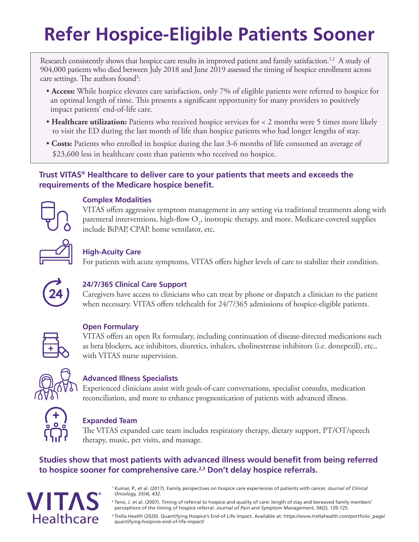# **Refer Hospice-Eligible Patients Sooner**

Research consistently shows that hospice care results in improved patient and family satisfaction.<sup>1,2</sup> A study of 904,000 patients who died between July 2018 and June 2019 assessed the timing of hospice enrollment across care settings. The authors found<sup>3</sup>:

- **Access:** While hospice elevates care satisfaction, only 7% of eligible patients were referred to hospice for an optimal length of time. This presents a significant opportunity for many providers to positively impact patients' end-of-life care.
- **Healthcare utilization:** Patients who received hospice services for < 2 months were 5 times more likely to visit the ED during the last month of life than hospice patients who had longer lengths of stay.
- **Costs:** Patients who enrolled in hospice during the last 3-6 months of life consumed an average of \$23,600 less in healthcare costs than patients who received no hospice.

### **Trust VITAS® Healthcare to deliver care to your patients that meets and exceeds the requirements of the Medicare hospice benefit.**



### **Complex Modalities**

VITAS offers aggressive symptom management in any setting via traditional treatments along with parenteral interventions, high-flow  $O_2$ , inotropic therapy, and more. Medicare-covered supplies include BiPAP, CPAP, home ventilator, etc.

### **High-Acuity Care**

For patients with acute symptoms, VITAS offers higher levels of care to stabilize their condition.



### **24/7/365 Clinical Care Support**

Caregivers have access to clinicians who can treat by phone or dispatch a clinician to the patient when necessary. VITAS offers telehealth for 24/7/365 admissions of hospice-eligible patients.

### **Open Formulary**

VITAS offers an open Rx formulary, including continuation of disease-directed medications such as beta blockers, ace inhibitors, diuretics, inhalers, cholinesterase inhibitors (i.e. donepezil), etc., with VITAS nurse supervision.



### **Advanced Illness Specialists**

Experienced clinicians assist with goals-of-care conversations, specialist consults, medication reconciliation, and more to enhance prognostication of patients with advanced illness.



### **Expanded Team**

The VITAS expanded care team includes respiratory therapy, dietary support, PT/OT/speech therapy, music, pet visits, and massage.

### **Studies show that most patients with advanced illness would benefit from being referred to hospice sooner for comprehensive care.2,3 Don't delay hospice referrals.**



1 Kumar, P., et al. (2017). Family perspectives on hospice care experiences of patients with cancer. *Journal of Clinical Oncology, 35(4), 432.*

<sup>2</sup> Teno, J. et al. (2007). Timing of referral to hospice and quality of care: length of stay and bereaved family members' perceptions of the timing of hospice referral. *Journal of Pain and Symptom Management*, 34(2), 120-125.

<sup>3</sup> Trella Health (2020). Quantifying Hospice's End-of-Life Impact. Available at: https://www.trellahealth.com/portfolio\_page/ quantifying-hospices-end-of-life-impact/